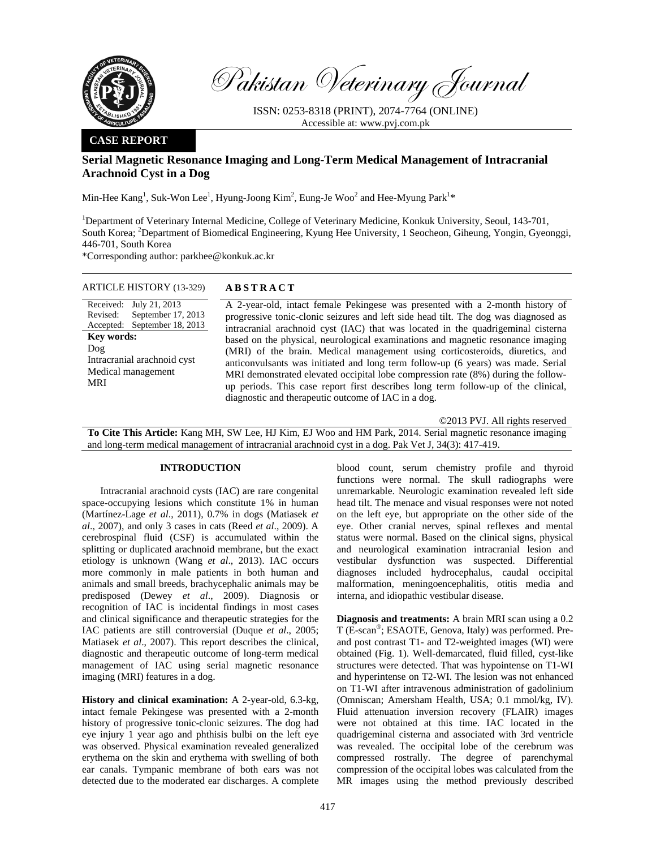

Pakistan Veterinary Journal

ISSN: 0253-8318 (PRINT), 2074-7764 (ONLINE) Accessible at: www.pvj.com.pk

## **CASE REPORT**

# **Serial Magnetic Resonance Imaging and Long-Term Medical Management of Intracranial Arachnoid Cyst in a Dog**

Min-Hee Kang<sup>1</sup>, Suk-Won Lee<sup>1</sup>, Hyung-Joong Kim<sup>2</sup>, Eung-Je Woo<sup>2</sup> and Hee-Myung Park<sup>1\*</sup>

<sup>1</sup>Department of Veterinary Internal Medicine, College of Veterinary Medicine, Konkuk University, Seoul, 143-701, South Korea; <sup>2</sup>Department of Biomedical Engineering, Kyung Hee University, 1 Seocheon, Giheung, Yongin, Gyeonggi, 446-701, South Korea

\*Corresponding author: parkhee@konkuk.ac.kr

| ARTICLE HISTORY (13-329)     | <b>ABSTRACT</b>                                                                     |
|------------------------------|-------------------------------------------------------------------------------------|
| Received: July 21, 2013      | A 2-year-old, intact female Pekingese was presented with a 2-month history of       |
| September 17, 2013           | progressive tonic-clonic seizures and left side head tilt. The dog was diagnosed as |
| Revised:                     | intracranial arachnoid cyst (IAC) that was located in the quadrigeminal cisterna    |
| Accepted: September 18, 2013 | based on the physical, neurological examinations and magnetic resonance imaging     |
| <b>Key words:</b>            | (MRI) of the brain. Medical management using corticosteroids, diuretics, and        |
| Doq                          | anticonvulsants was initiated and long term follow-up (6 years) was made. Serial    |
| Intracranial arachnoid cyst  | MRI demonstrated elevated occipital lobe compression rate (8%) during the follow-   |
| Medical management           | up periods. This case report first describes long term follow-up of the clinical,   |
| MRI                          | diagnostic and therapeutic outcome of IAC in a dog.                                 |

©2013 PVJ. All rights reserved

**To Cite This Article:** Kang MH, SW Lee, HJ Kim, EJ Woo and HM Park, 2014. Serial magnetic resonance imaging and long-term medical management of intracranial arachnoid cyst in a dog. Pak Vet J, 34(3): 417-419.

### **INTRODUCTION**

Intracranial arachnoid cysts (IAC) are rare congenital space-occupying lesions which constitute 1% in human (Martínez-Lage *et al*., 2011), 0.7% in dogs (Matiasek *et al*., 2007), and only 3 cases in cats (Reed *et al*., 2009). A cerebrospinal fluid (CSF) is accumulated within the splitting or duplicated arachnoid membrane, but the exact etiology is unknown (Wang *et al*., 2013). IAC occurs more commonly in male patients in both human and animals and small breeds, brachycephalic animals may be predisposed (Dewey *et al*., 2009). Diagnosis or recognition of IAC is incidental findings in most cases and clinical significance and therapeutic strategies for the IAC patients are still controversial (Duque *et al*., 2005; Matiasek *et al*., 2007). This report describes the clinical, diagnostic and therapeutic outcome of long-term medical management of IAC using serial magnetic resonance imaging (MRI) features in a dog.

**History and clinical examination:** A 2-year-old, 6.3-kg, intact female Pekingese was presented with a 2-month history of progressive tonic-clonic seizures. The dog had eye injury 1 year ago and phthisis bulbi on the left eye was observed. Physical examination revealed generalized erythema on the skin and erythema with swelling of both ear canals. Tympanic membrane of both ears was not detected due to the moderated ear discharges. A complete blood count, serum chemistry profile and thyroid functions were normal. The skull radiographs were unremarkable. Neurologic examination revealed left side head tilt. The menace and visual responses were not noted on the left eye, but appropriate on the other side of the eye. Other cranial nerves, spinal reflexes and mental status were normal. Based on the clinical signs, physical and neurological examination intracranial lesion and vestibular dysfunction was suspected. Differential diagnoses included hydrocephalus, caudal occipital malformation, meningoencephalitis, otitis media and interna, and idiopathic vestibular disease.

**Diagnosis and treatments:** A brain MRI scan using a 0.2 T (E-scan®; ESAOTE, Genova, Italy) was performed. Preand post contrast T1- and T2-weighted images (WI) were obtained (Fig. 1). Well-demarcated, fluid filled, cyst-like structures were detected. That was hypointense on T1-WI and hyperintense on T2-WI. The lesion was not enhanced on T1-WI after intravenous administration of gadolinium (Omniscan; Amersham Health, USA; 0.1 mmol/kg, IV). Fluid attenuation inversion recovery (FLAIR) images were not obtained at this time. IAC located in the quadrigeminal cisterna and associated with 3rd ventricle was revealed. The occipital lobe of the cerebrum was compressed rostrally. The degree of parenchymal compression of the occipital lobes was calculated from the MR images using the method previously described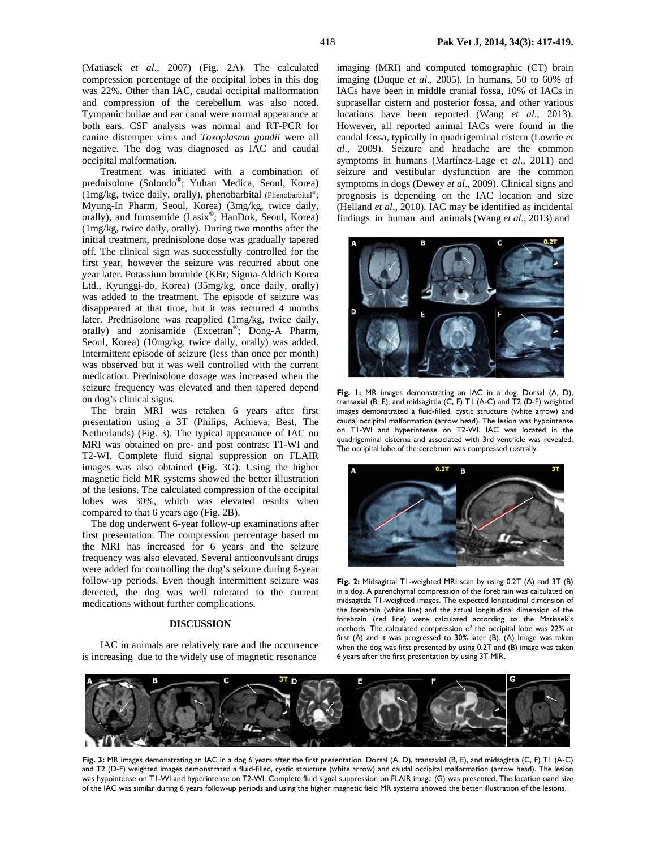(Matiasek *et al*., 2007) (Fig. 2A). The calculated compression percentage of the occipital lobes in this dog was 22%. Other than IAC, caudal occipital malformation and compression of the cerebellum was also noted. Tympanic bullae and ear canal were normal appearance at both ears. CSF analysis was normal and RT-PCR for canine distemper virus and *Toxoplasma gondii* were all negative. The dog was diagnosed as IAC and caudal occipital malformation.

Treatment was initiated with a combination of prednisolone (Solondo®; Yuhan Medica, Seoul, Korea) (1mg/kg, twice daily, orally), phenobarbital (Phenobarbital®; Myung-In Pharm, Seoul, Korea) (3mg/kg, twice daily, orally), and furosemide (Lasix®; HanDok, Seoul, Korea) (1mg/kg, twice daily, orally). During two months after the initial treatment, prednisolone dose was gradually tapered off. The clinical sign was successfully controlled for the first year, however the seizure was recurred about one year later. Potassium bromide (KBr; Sigma-Aldrich Korea Ltd., Kyunggi-do, Korea) (35mg/kg, once daily, orally) was added to the treatment. The episode of seizure was disappeared at that time, but it was recurred 4 months later. Prednisolone was reapplied (1mg/kg, twice daily, orally) and zonisamide (Excetran<sup>®</sup>; Dong-A Pharm, Seoul, Korea) (10mg/kg, twice daily, orally) was added. Intermittent episode of seizure (less than once per month) was observed but it was well controlled with the current medication. Prednisolone dosage was increased when the seizure frequency was elevated and then tapered depend on dog's clinical signs.

The brain MRI was retaken 6 years after first presentation using a 3T (Philips, Achieva, Best, The Netherlands) (Fig. 3). The typical appearance of IAC on MRI was obtained on pre- and post contrast T1-WI and T2-WI. Complete fluid signal suppression on FLAIR images was also obtained (Fig. 3G). Using the higher magnetic field MR systems showed the better illustration of the lesions. The calculated compression of the occipital lobes was 30%, which was elevated results when compared to that 6 years ago (Fig. 2B).

The dog underwent 6-year follow-up examinations after first presentation. The compression percentage based on the MRI has increased for 6 years and the seizure frequency was also elevated. Several anticonvulsant drugs were added for controlling the dog's seizure during 6-year follow-up periods. Even though intermittent seizure was detected, the dog was well tolerated to the current medications without further complications.

#### **DISCUSSION**

IAC in animals are relatively rare and the occurrence is increasing due to the widely use of magnetic resonance

imaging (MRI) and computed tomographic (CT) brain imaging (Duque *et al*., 2005). In humans, 50 to 60% of IACs have been in middle cranial fossa, 10% of IACs in suprasellar cistern and posterior fossa, and other various locations have been reported (Wang *et al*., 2013). However, all reported animal IACs were found in the caudal fossa, typically in quadrigeminal cistern (Lowrie *et al*., 2009). Seizure and headache are the common symptoms in humans (Martínez-Lage et *al*., 2011) and seizure and vestibular dysfunction are the common symptoms in dogs (Dewey *et al*., 2009). Clinical signs and prognosis is depending on the IAC location and size (Helland *et al*., 2010). IAC may be identified as incidental findings in human and animals (Wang *et al*., 2013) and



**Fig. 1:** MR images demonstrating an IAC in a dog. Dorsal (A, D), transaxial (B, E), and midsagittla (C, F) T1 (A-C) and T2 (D-F) weighted images demonstrated a fluid-filled, cystic structure (white arrow) and caudal occipital malformation (arrow head). The lesion was hypointense on T1-WI and hyperintense on T2-WI. IAC was located in the quadrigeminal cisterna and associated with 3rd ventricle was revealed. The occipital lobe of the cerebrum was compressed rostrally.



**Fig. 2:** Midsagittal T1-weighted MRI scan by using 0.2T (A) and 3T (B) in a dog. A parenchymal compression of the forebrain was calculated on midsagittla T1-weighted images. The expected longitudinal dimension of the forebrain (white line) and the actual longitudinal dimension of the forebrain (red line) were calculated according to the Matiasek's methods. The calculated compression of the occipital lobe was 22% at first (A) and it was progressed to 30% later (B). (A) Image was taken when the dog was first presented by using 0.2T and (B) image was taken 6 years after the first presentation by using 3T MIR.



**Fig. 3:** MR images demonstrating an IAC in a dog 6 years after the first presentation. Dorsal (A, D), transaxial (B, E), and midsagittla (C, F) T1 (A-C) and T2 (D-F) weighted images demonstrated a fluid-filled, cystic structure (white arrow) and caudal occipital malformation (arrow head). The lesion was hypointense on T1-WI and hyperintense on T2-WI. Complete fluid signal suppression on FLAIR image (G) was presented. The location oand size of the IAC was similar during 6 years follow-up periods and using the higher magnetic field MR systems showed the better illustration of the lesions.